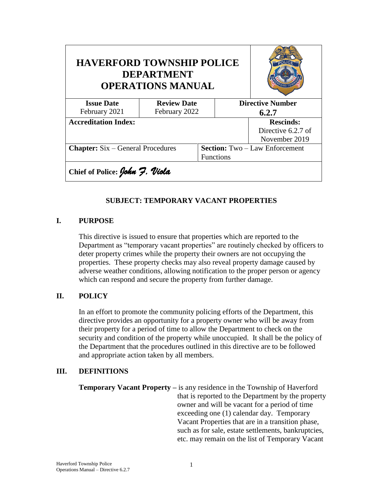| <b>HAVERFORD TOWNSHIP POLICE</b><br><b>DEPARTMENT</b><br><b>OPERATIONS MANUAL</b> |                    |       |                                       |                         |  |
|-----------------------------------------------------------------------------------|--------------------|-------|---------------------------------------|-------------------------|--|
| <b>Issue Date</b>                                                                 | <b>Review Date</b> |       |                                       | <b>Directive Number</b> |  |
| February 2021                                                                     | February 2022      | 6.2.7 |                                       |                         |  |
| <b>Accreditation Index:</b>                                                       |                    |       |                                       | <b>Rescinds:</b>        |  |
|                                                                                   |                    |       |                                       | Directive 6.2.7 of      |  |
|                                                                                   |                    |       |                                       | November 2019           |  |
| <b>Chapter:</b> Six – General Procedures                                          |                    |       | <b>Section:</b> Two – Law Enforcement |                         |  |
|                                                                                   |                    |       | <b>Functions</b>                      |                         |  |
| Chief of Police: John 7. Viola                                                    |                    |       |                                       |                         |  |

## **SUBJECT: TEMPORARY VACANT PROPERTIES**

## **I. PURPOSE**

This directive is issued to ensure that properties which are reported to the Department as "temporary vacant properties" are routinely checked by officers to deter property crimes while the property their owners are not occupying the properties. These property checks may also reveal property damage caused by adverse weather conditions, allowing notification to the proper person or agency which can respond and secure the property from further damage.

#### **II. POLICY**

In an effort to promote the community policing efforts of the Department, this directive provides an opportunity for a property owner who will be away from their property for a period of time to allow the Department to check on the security and condition of the property while unoccupied. It shall be the policy of the Department that the procedures outlined in this directive are to be followed and appropriate action taken by all members.

#### **III. DEFINITIONS**

**Temporary Vacant Property –** is any residence in the Township of Haverford that is reported to the Department by the property owner and will be vacant for a period of time exceeding one (1) calendar day. Temporary Vacant Properties that are in a transition phase, such as for sale, estate settlements, bankruptcies, etc. may remain on the list of Temporary Vacant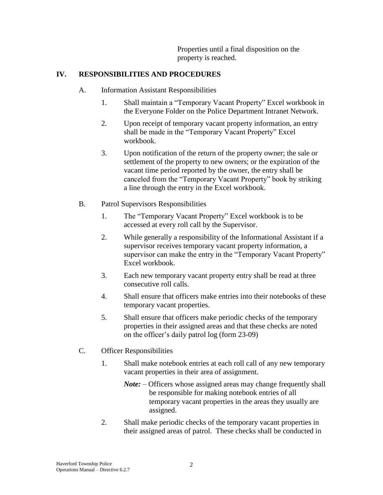Properties until a final disposition on the property is reached.

## **IV. RESPONSIBILITIES AND PROCEDURES**

- A. Information Assistant Responsibilities
	- 1. Shall maintain a "Temporary Vacant Property" Excel workbook in the Everyone Folder on the Police Department Intranet Network.
	- 2. Upon receipt of temporary vacant property information, an entry shall be made in the "Temporary Vacant Property" Excel workbook.
	- 3. Upon notification of the return of the property owner; the sale or settlement of the property to new owners; or the expiration of the vacant time period reported by the owner, the entry shall be canceled from the "Temporary Vacant Property" book by striking a line through the entry in the Excel workbook.
- B. Patrol Supervisors Responsibilities
	- 1. The "Temporary Vacant Property" Excel workbook is to be accessed at every roll call by the Supervisor.
	- 2. While generally a responsibility of the Informational Assistant if a supervisor receives temporary vacant property information, a supervisor can make the entry in the "Temporary Vacant Property" Excel workbook.
	- 3. Each new temporary vacant property entry shall be read at three consecutive roll calls.
	- 4. Shall ensure that officers make entries into their notebooks of these temporary vacant properties.
	- 5. Shall ensure that officers make periodic checks of the temporary properties in their assigned areas and that these checks are noted on the officer's daily patrol log (form 23-09)
- C. Officer Responsibilities
	- 1. Shall make notebook entries at each roll call of any new temporary vacant properties in their area of assignment.
		- *Note:* Officers whose assigned areas may change frequently shall be responsible for making notebook entries of all temporary vacant properties in the areas they usually are assigned.
	- 2. Shall make periodic checks of the temporary vacant properties in their assigned areas of patrol. These checks shall be conducted in